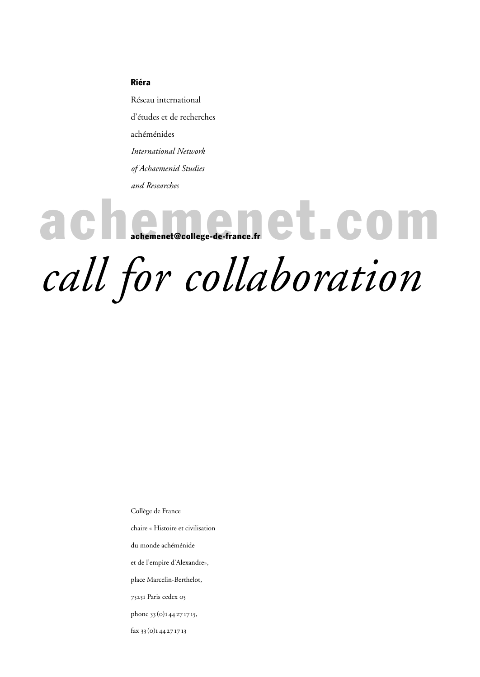### Riéra

Réseau international d'études et de recherches achéménides *International Network of Achaemenid Studies and Researches*

achement@college-de-france.fr achemenet@college-de-france.fr

*call for collaboration*

Collège de France

chaire « Histoire et civilisation

du monde achéménide

et de l'empire d'Alexandre»,

place Marcelin-Berthelot,

75231 Paris cedex 05

phone 33 (0)1 44 27 17 15,

fax 33 (0)1 44 27 17 13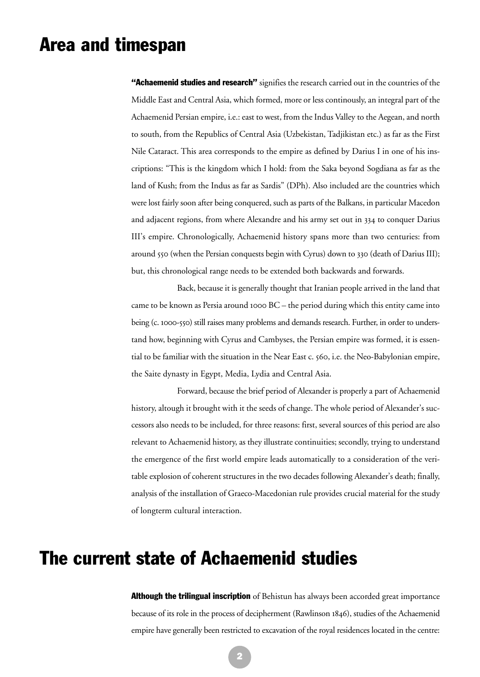# Area and timespan

"Achaemenid studies and research" signifies the research carried out in the countries of the Middle East and Central Asia, which formed, more or less continously, an integral part of the Achaemenid Persian empire, i.e.: east to west, from the Indus Valley to the Aegean, and north to south, from the Republics of Central Asia (Uzbekistan, Tadjikistan etc.) as far as the First Nile Cataract. This area corresponds to the empire as defined by Darius I in one of his inscriptions: "This is the kingdom which I hold: from the Saka beyond Sogdiana as far as the land of Kush; from the Indus as far as Sardis" (DPh). Also included are the countries which were lost fairly soon after being conquered, such as parts of the Balkans, in particular Macedon and adjacent regions, from where Alexandre and his army set out in 334 to conquer Darius III's empire. Chronologically, Achaemenid history spans more than two centuries: from around 550 (when the Persian conquests begin with Cyrus) down to 330 (death of Darius III); but, this chronological range needs to be extended both backwards and forwards.

Back, because it is generally thought that Iranian people arrived in the land that came to be known as Persia around 1000 BC – the period during which this entity came into being (c. 1000-550) still raises many problems and demands research. Further, in order to understand how, beginning with Cyrus and Cambyses, the Persian empire was formed, it is essential to be familiar with the situation in the Near East c. 560, i.e. the Neo-Babylonian empire, the Saite dynasty in Egypt, Media, Lydia and Central Asia.

Forward, because the brief period of Alexander is properly a part of Achaemenid history, altough it brought with it the seeds of change. The whole period of Alexander's successors also needs to be included, for three reasons: first, several sources of this period are also relevant to Achaemenid history, as they illustrate continuities; secondly, trying to understand the emergence of the first world empire leads automatically to a consideration of the veritable explosion of coherent structures in the two decades following Alexander's death; finally, analysis of the installation of Graeco-Macedonian rule provides crucial material for the study of longterm cultural interaction.

# The current state of Achaemenid studies

Although the trilingual inscription of Behistun has always been accorded great importance because of its role in the process of decipherment (Rawlinson 1846), studies of the Achaemenid empire have generally been restricted to excavation of the royal residences located in the centre: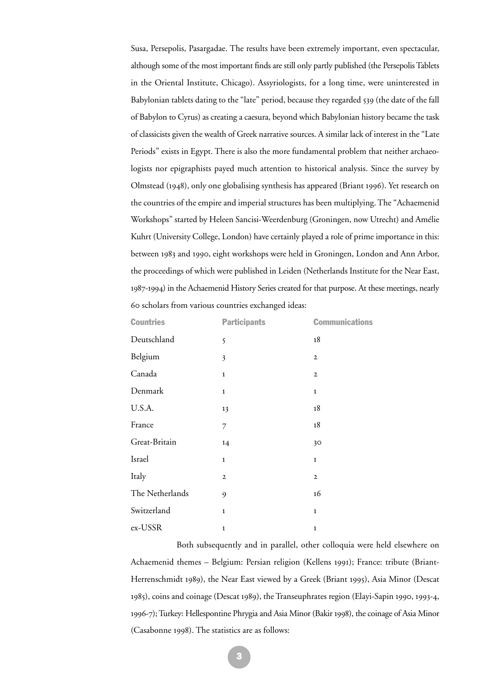Susa, Persepolis, Pasargadae. The results have been extremely important, even spectacular, although some of the most important finds are still only partly published (the Persepolis Tablets in the Oriental Institute, Chicago). Assyriologists, for a long time, were uninterested in Babylonian tablets dating to the "late" period, because they regarded 539 (the date of the fall of Babylon to Cyrus) as creating a caesura, beyond which Babylonian history became the task of classicists given the wealth of Greek narrative sources. A similar lack of interest in the "Late Periods" exists in Egypt. There is also the more fundamental problem that neither archaeologists nor epigraphists payed much attention to historical analysis. Since the survey by Olmstead (1948), only one globalising synthesis has appeared (Briant 1996). Yet research on the countries of the empire and imperial structures has been multiplying. The "Achaemenid Workshops" started by Heleen Sancisi-Weerdenburg (Groningen, now Utrecht) and Amélie Kuhrt (University College, London) have certainly played a role of prime importance in this: between 1983 and 1990, eight workshops were held in Groningen, London and Ann Arbor, the proceedings of which were published in Leiden (Netherlands Institute for the Near East, 1987-1994) in the Achaemenid History Series created for that purpose. At these meetings, nearly 60 scholars from various countries exchanged ideas:

| <b>Countries</b> | <b>Participants</b> | <b>Communications</b> |
|------------------|---------------------|-----------------------|
| Deutschland      | 5                   | 18                    |
| Belgium          | 3                   | $\mathbf{2}$          |
| Canada           | $\mathbf{1}$        | $\mathbf{2}$          |
| Denmark          | $\mathbf{1}$        | $\mathbf{1}$          |
| U.S.A.           | 13                  | 18                    |
| France           | $\overline{7}$      | 18                    |
| Great-Britain    | 14                  | 30                    |
| Israel           | $\mathbf{1}$        | $\mathbf{1}$          |
| Italy            | $\mathbf 2$         | $\mathbf{2}$          |
| The Netherlands  | 9                   | 16                    |
| Switzerland      | $\mathbf{1}$        | $\mathbf{1}$          |
| ex-USSR          | $\mathbf 1$         | 1                     |

Both subsequently and in parallel, other colloquia were held elsewhere on Achaemenid themes – Belgium: Persian religion (Kellens 1991); France: tribute (Briant-Herrenschmidt 1989), the Near East viewed by a Greek (Briant 1995), Asia Minor (Descat 1985), coins and coinage (Descat 1989), the Transeuphrates region (Elayi-Sapin 1990, 1993-4, 1996-7); Turkey: Hellespontine Phrygia and Asia Minor (Bakir 1998), the coinage of Asia Minor (Casabonne 1998). The statistics are as follows: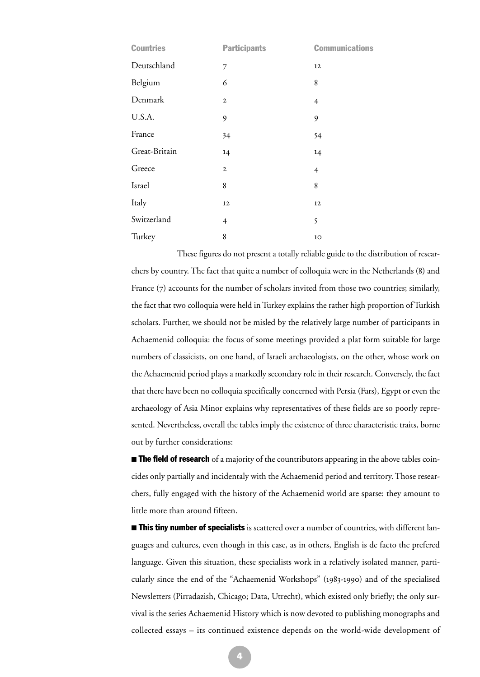| <b>Countries</b> | <b>Participants</b> | <b>Communications</b> |
|------------------|---------------------|-----------------------|
| Deutschland      | 7                   | 12                    |
| Belgium          | 6                   | 8                     |
| Denmark          | $\mathbf{2}$        | $\overline{4}$        |
| U.S.A.           | 9                   | 9                     |
| France           | 34                  | 54                    |
| Great-Britain    | 14                  | 14                    |
| Greece           | $\mathbf{2}$        | $\overline{4}$        |
| Israel           | 8                   | 8                     |
| Italy            | 12                  | 12                    |
| Switzerland      | $\overline{4}$      | 5                     |
| Turkey           | 8                   | 10                    |

These figures do not present a totally reliable guide to the distribution of researchers by country. The fact that quite a number of colloquia were in the Netherlands (8) and France (7) accounts for the number of scholars invited from those two countries; similarly, the fact that two colloquia were held in Turkey explains the rather high proportion of Turkish scholars. Further, we should not be misled by the relatively large number of participants in Achaemenid colloquia: the focus of some meetings provided a plat form suitable for large numbers of classicists, on one hand, of Israeli archaeologists, on the other, whose work on the Achaemenid period plays a markedly secondary role in their research. Conversely, the fact that there have been no colloquia specifically concerned with Persia (Fars), Egypt or even the archaeology of Asia Minor explains why representatives of these fields are so poorly represented. Nevertheless, overall the tables imply the existence of three characteristic traits, borne out by further considerations:

 $\blacksquare$  **The field of research** of a majority of the countributors appearing in the above tables coincides only partially and incidentaly with the Achaemenid period and territory. Those researchers, fully engaged with the history of the Achaemenid world are sparse: they amount to little more than around fifteen.

**If This tiny number of specialists** is scattered over a number of countries, with different languages and cultures, even though in this case, as in others, English is de facto the prefered language. Given this situation, these specialists work in a relatively isolated manner, particularly since the end of the "Achaemenid Workshops" (1983-1990) and of the specialised Newsletters (Pirradazish, Chicago; Data, Utrecht), which existed only briefly; the only survival is the series Achaemenid History which is now devoted to publishing monographs and collected essays – its continued existence depends on the world-wide development of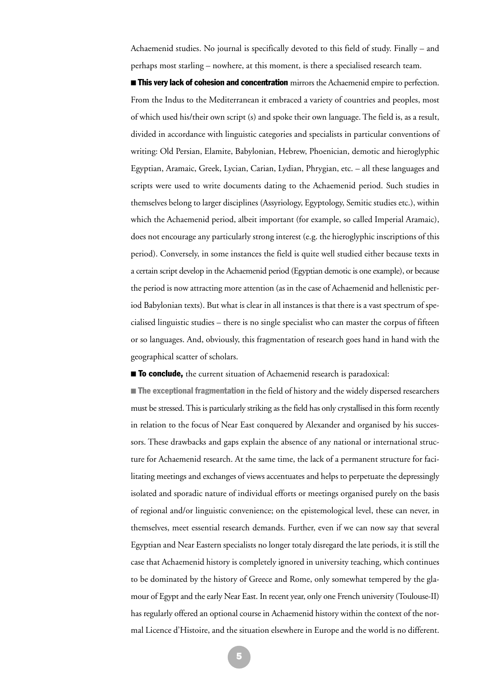Achaemenid studies. No journal is specifically devoted to this field of study. Finally – and perhaps most starling – nowhere, at this moment, is there a specialised research team.

**If This very lack of cohesion and concentration** mirrors the Achaemenid empire to perfection. From the Indus to the Mediterranean it embraced a variety of countries and peoples, most of which used his/their own script (s) and spoke their own language. The field is, as a result, divided in accordance with linguistic categories and specialists in particular conventions of writing: Old Persian, Elamite, Babylonian, Hebrew, Phoenician, demotic and hieroglyphic Egyptian, Aramaic, Greek, Lycian, Carian, Lydian, Phrygian, etc. – all these languages and scripts were used to write documents dating to the Achaemenid period. Such studies in themselves belong to larger disciplines (Assyriology, Egyptology, Semitic studies etc.), within which the Achaemenid period, albeit important (for example, so called Imperial Aramaic), does not encourage any particularly strong interest (e.g. the hieroglyphic inscriptions of this period). Conversely, in some instances the field is quite well studied either because texts in a certain script develop in the Achaemenid period (Egyptian demotic is one example), or because the period is now attracting more attention (as in the case of Achaemenid and hellenistic period Babylonian texts). But what is clear in all instances is that there is a vast spectrum of specialised linguistic studies – there is no single specialist who can master the corpus of fifteen or so languages. And, obviously, this fragmentation of research goes hand in hand with the geographical scatter of scholars.

**To conclude,** the current situation of Achaemenid research is paradoxical:

**The exceptional fragmentation** in the field of history and the widely dispersed researchers must be stressed. This is particularly striking as the field has only crystallised in this form recently in relation to the focus of Near East conquered by Alexander and organised by his successors. These drawbacks and gaps explain the absence of any national or international structure for Achaemenid research. At the same time, the lack of a permanent structure for facilitating meetings and exchanges of views accentuates and helps to perpetuate the depressingly isolated and sporadic nature of individual efforts or meetings organised purely on the basis of regional and/or linguistic convenience; on the epistemological level, these can never, in themselves, meet essential research demands. Further, even if we can now say that several Egyptian and Near Eastern specialists no longer totaly disregard the late periods, it is still the case that Achaemenid history is completely ignored in university teaching, which continues to be dominated by the history of Greece and Rome, only somewhat tempered by the glamour of Egypt and the early Near East. In recent year, only one French university (Toulouse-II) has regularly offered an optional course in Achaemenid history within the context of the normal Licence d'Histoire, and the situation elsewhere in Europe and the world is no different.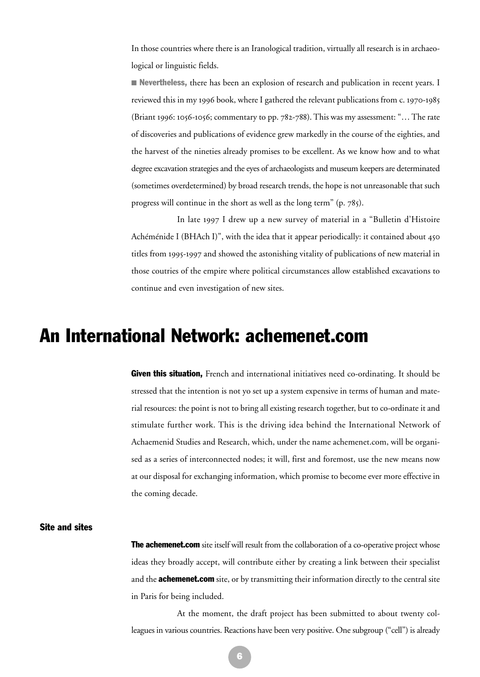In those countries where there is an Iranological tradition, virtually all research is in archaeological or linguistic fields.

**• Nevertheless,** there has been an explosion of research and publication in recent years. I reviewed this in my 1996 book, where I gathered the relevant publications from c. 1970-1985 (Briant 1996: 1056-1056; commentary to pp. 782-788). This was my assessment: "… The rate of discoveries and publications of evidence grew markedly in the course of the eighties, and the harvest of the nineties already promises to be excellent. As we know how and to what degree excavation strategies and the eyes of archaeologists and museum keepers are determinated (sometimes overdetermined) by broad research trends, the hope is not unreasonable that such progress will continue in the short as well as the long term" (p. 785).

In late 1997 I drew up a new survey of material in a "Bulletin d'Histoire Achéménide I (BHAch I)", with the idea that it appear periodically: it contained about 450 titles from 1995-1997 and showed the astonishing vitality of publications of new material in those coutries of the empire where political circumstances allow established excavations to continue and even investigation of new sites.

### An International Network: achemenet.com

**Given this situation,** French and international initiatives need co-ordinating. It should be stressed that the intention is not yo set up a system expensive in terms of human and material resources: the point is not to bring all existing research together, but to co-ordinate it and stimulate further work. This is the driving idea behind the International Network of Achaemenid Studies and Research, which, under the name achemenet.com, will be organised as a series of interconnected nodes; it will, first and foremost, use the new means now at our disposal for exchanging information, which promise to become ever more effective in the coming decade.

### Site and sites

**The achemenet.com** site itself will result from the collaboration of a co-operative project whose ideas they broadly accept, will contribute either by creating a link between their specialist and the **achemenet.com** site, or by transmitting their information directly to the central site in Paris for being included.

At the moment, the draft project has been submitted to about twenty colleagues in various countries. Reactions have been very positive. One subgroup ("cell") is already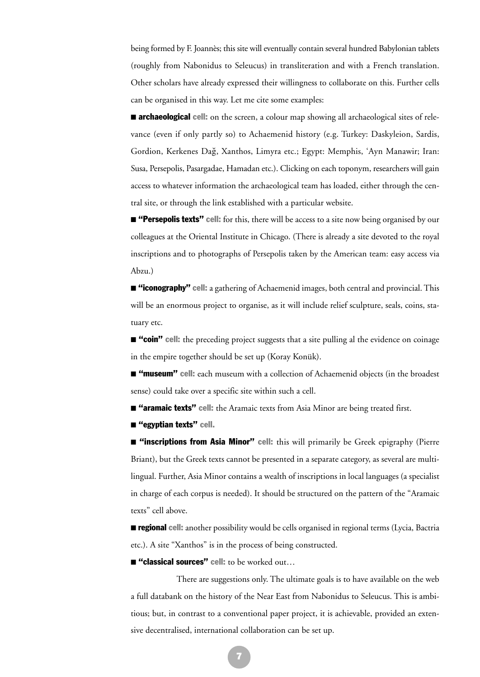being formed by F. Joannès; this site will eventually contain several hundred Babylonian tablets (roughly from Nabonidus to Seleucus) in transliteration and with a French translation. Other scholars have already expressed their willingness to collaborate on this. Further cells can be organised in this way. Let me cite some examples:

**Exerchaeological cell:** on the screen, a colour map showing all archaeological sites of relevance (even if only partly so) to Achaemenid history (e.g. Turkey: Daskyleion, Sardis, Gordion, Kerkenes Dağ, Xanthos, Limyra etc.; Egypt: Memphis, 'Ayn Manawir; Iran: Susa, Persepolis, Pasargadae, Hamadan etc.). Clicking on each toponym, researchers will gain access to whatever information the archaeological team has loaded, either through the central site, or through the link established with a particular website.

**E** "Persepolis texts" cell: for this, there will be access to a site now being organised by our colleagues at the Oriental Institute in Chicago. (There is already a site devoted to the royal inscriptions and to photographs of Persepolis taken by the American team: easy access via Abzu.)

**E** "iconography" cell: a gathering of Achaemenid images, both central and provincial. This will be an enormous project to organise, as it will include relief sculpture, seals, coins, statuary etc.

 $\blacksquare$  "coin" cell: the preceding project suggests that a site pulling al the evidence on coinage in the empire together should be set up (Koray Konük).

 $\blacksquare$  **"museum" cell:** each museum with a collection of Achaemenid objects (in the broadest sense) could take over a specific site within such a cell.

**<sup>"</sup>aramaic texts"** cell: the Aramaic texts from Asia Minor are being treated first.

■ "egyptian texts" cell.

 $\blacksquare$  "inscriptions from Asia Minor" cell: this will primarily be Greek epigraphy (Pierre Briant), but the Greek texts cannot be presented in a separate category, as several are multilingual. Further, Asia Minor contains a wealth of inscriptions in local languages (a specialist in charge of each corpus is needed). It should be structured on the pattern of the "Aramaic texts" cell above.

**Example 1**: another possibility would be cells organised in regional terms (Lycia, Bactria etc.). A site "Xanthos" is in the process of being constructed.

■ "classical sources" cell: to be worked out...

There are suggestions only. The ultimate goals is to have available on the web a full databank on the history of the Near East from Nabonidus to Seleucus. This is ambitious; but, in contrast to a conventional paper project, it is achievable, provided an extensive decentralised, international collaboration can be set up.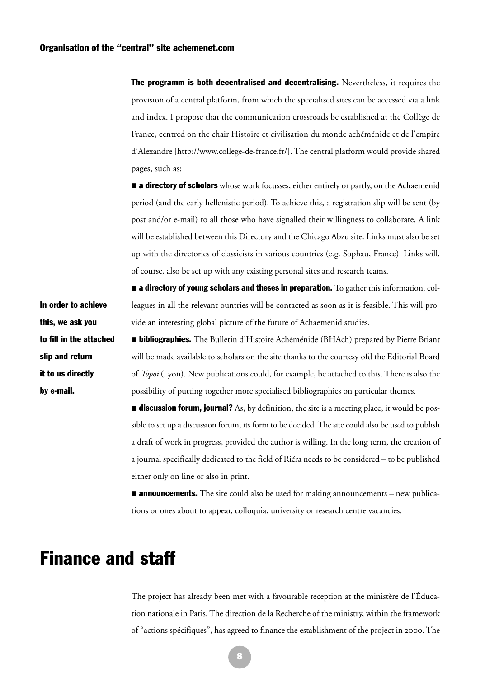**The programm is both decentralised and decentralising.** Nevertheless, it requires the provision of a central platform, from which the specialised sites can be accessed via a link and index. I propose that the communication crossroads be established at the Collège de France, centred on the chair Histoire et civilisation du monde achéménide et de l'empire d'Alexandre [http://www.college-de-france.fr/]. The central platform would provide shared pages, such as:

**a directory of scholars** whose work focusses, either entirely or partly, on the Achaemenid period (and the early hellenistic period). To achieve this, a registration slip will be sent (by post and/or e-mail) to all those who have signalled their willingness to collaborate. A link will be established between this Directory and the Chicago Abzu site. Links must also be set up with the directories of classicists in various countries (e.g. Sophau, France). Links will, of course, also be set up with any existing personal sites and research teams.

 $\blacksquare$  a directory of young scholars and theses in preparation. To gather this information, colleagues in all the relevant ountries will be contacted as soon as it is feasible. This will provide an interesting global picture of the future of Achaemenid studies.

In order to achieve this, we ask you to fill in the attached slip and return it to us directly by e-mail.

**E** bibliographies. The Bulletin d'Histoire Achéménide (BHAch) prepared by Pierre Briant will be made available to scholars on the site thanks to the courtesy ofd the Editorial Board of *Topoi* (Lyon). New publications could, for example, be attached to this. There is also the possibility of putting together more specialised bibliographies on particular themes.

**If discussion forum, journal?** As, by definition, the site is a meeting place, it would be possible to set up a discussion forum, its form to be decided. The site could also be used to publish a draft of work in progress, provided the author is willing. In the long term, the creation of a journal specifically dedicated to the field of Riéra needs to be considered – to be published either only on line or also in print.

**Examble 20 announcements.** The site could also be used for making announcements – new publications or ones about to appear, colloquia, university or research centre vacancies.

# Finance and staff

The project has already been met with a favourable reception at the ministère de l'Éducation nationale in Paris. The direction de la Recherche of the ministry, within the framework of "actions spécifiques", has agreed to finance the establishment of the project in 2000. The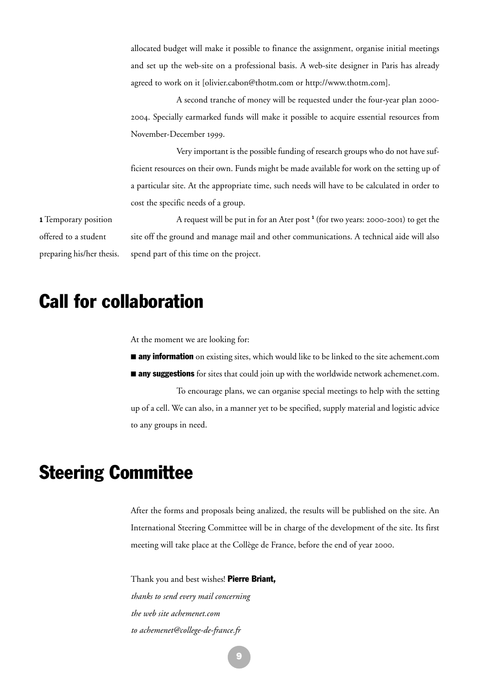allocated budget will make it possible to finance the assignment, organise initial meetings and set up the web-site on a professional basis. A web-site designer in Paris has already agreed to work on it [olivier.cabon@thotm.com or http://www.thotm.com].

A second tranche of money will be requested under the four-year plan 2000- 2004. Specially earmarked funds will make it possible to acquire essential resources from November-December 1999.

Very important is the possible funding of research groups who do not have sufficient resources on their own. Funds might be made available for work on the setting up of a particular site. At the appropriate time, such needs will have to be calculated in order to cost the specific needs of a group.

1 Temporary position offered to a student preparing his/her thesis.

A request will be put in for an Ater post <sup>1</sup> (for two years: 2000-2001) to get the site off the ground and manage mail and other communications. A technical aide will also spend part of this time on the project.

# Call for collaboration

At the moment we are looking for:

**any information** on existing sites, which would like to be linked to the site achement.com

**any suggestions** for sites that could join up with the worldwide network achemenet.com.

To encourage plans, we can organise special meetings to help with the setting up of a cell. We can also, in a manner yet to be specified, supply material and logistic advice to any groups in need.

## Steering Committee

After the forms and proposals being analized, the results will be published on the site. An International Steering Committee will be in charge of the development of the site. Its first meeting will take place at the Collège de France, before the end of year 2000.

Thank you and best wishes! Pierre Briant, *thanks to send every mail concerning the web site achemenet.com to achemenet@college-de-france.fr*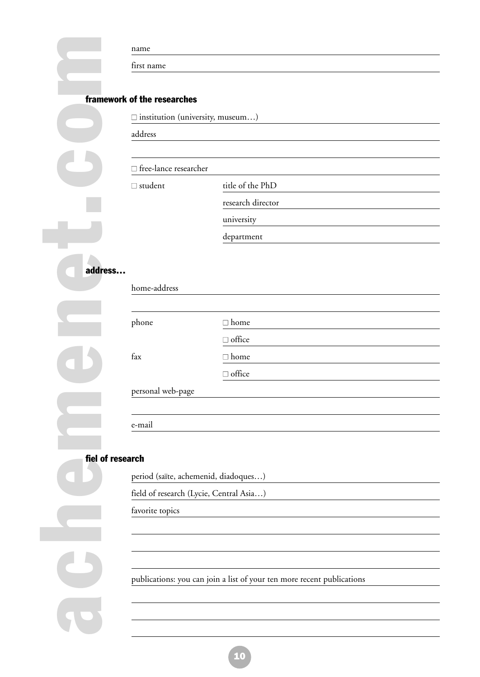### framework of the researches

| first name<br>framework of the researches<br>$\square$ institution (university, museum)<br>address<br>□ free-lance researcher<br>title of the PhD<br>$\Box$ student<br>research director<br>university<br>department<br>address<br>home-address<br>phone<br>$\Box$ home<br>$\Box$ office<br>fax<br>$\Box$ home<br>$\Box$ office<br>personal web-page<br>e-mail<br>fiel of research<br>period (saïte, achemenid, diadoques)<br>field of research (Lycie, Central Asia)<br>favorite topics<br>publications: you can join a list of your ten more recent publications |  | name |  |
|--------------------------------------------------------------------------------------------------------------------------------------------------------------------------------------------------------------------------------------------------------------------------------------------------------------------------------------------------------------------------------------------------------------------------------------------------------------------------------------------------------------------------------------------------------------------|--|------|--|
|                                                                                                                                                                                                                                                                                                                                                                                                                                                                                                                                                                    |  |      |  |
|                                                                                                                                                                                                                                                                                                                                                                                                                                                                                                                                                                    |  |      |  |
|                                                                                                                                                                                                                                                                                                                                                                                                                                                                                                                                                                    |  |      |  |
|                                                                                                                                                                                                                                                                                                                                                                                                                                                                                                                                                                    |  |      |  |
|                                                                                                                                                                                                                                                                                                                                                                                                                                                                                                                                                                    |  |      |  |
|                                                                                                                                                                                                                                                                                                                                                                                                                                                                                                                                                                    |  |      |  |
|                                                                                                                                                                                                                                                                                                                                                                                                                                                                                                                                                                    |  |      |  |
|                                                                                                                                                                                                                                                                                                                                                                                                                                                                                                                                                                    |  |      |  |
|                                                                                                                                                                                                                                                                                                                                                                                                                                                                                                                                                                    |  |      |  |
|                                                                                                                                                                                                                                                                                                                                                                                                                                                                                                                                                                    |  |      |  |
|                                                                                                                                                                                                                                                                                                                                                                                                                                                                                                                                                                    |  |      |  |
|                                                                                                                                                                                                                                                                                                                                                                                                                                                                                                                                                                    |  |      |  |
|                                                                                                                                                                                                                                                                                                                                                                                                                                                                                                                                                                    |  |      |  |
|                                                                                                                                                                                                                                                                                                                                                                                                                                                                                                                                                                    |  |      |  |
|                                                                                                                                                                                                                                                                                                                                                                                                                                                                                                                                                                    |  |      |  |
|                                                                                                                                                                                                                                                                                                                                                                                                                                                                                                                                                                    |  |      |  |
|                                                                                                                                                                                                                                                                                                                                                                                                                                                                                                                                                                    |  |      |  |
|                                                                                                                                                                                                                                                                                                                                                                                                                                                                                                                                                                    |  |      |  |
|                                                                                                                                                                                                                                                                                                                                                                                                                                                                                                                                                                    |  |      |  |
|                                                                                                                                                                                                                                                                                                                                                                                                                                                                                                                                                                    |  |      |  |
|                                                                                                                                                                                                                                                                                                                                                                                                                                                                                                                                                                    |  |      |  |
|                                                                                                                                                                                                                                                                                                                                                                                                                                                                                                                                                                    |  |      |  |
|                                                                                                                                                                                                                                                                                                                                                                                                                                                                                                                                                                    |  |      |  |
|                                                                                                                                                                                                                                                                                                                                                                                                                                                                                                                                                                    |  |      |  |
|                                                                                                                                                                                                                                                                                                                                                                                                                                                                                                                                                                    |  |      |  |
|                                                                                                                                                                                                                                                                                                                                                                                                                                                                                                                                                                    |  |      |  |
|                                                                                                                                                                                                                                                                                                                                                                                                                                                                                                                                                                    |  |      |  |
|                                                                                                                                                                                                                                                                                                                                                                                                                                                                                                                                                                    |  |      |  |
|                                                                                                                                                                                                                                                                                                                                                                                                                                                                                                                                                                    |  |      |  |
|                                                                                                                                                                                                                                                                                                                                                                                                                                                                                                                                                                    |  |      |  |
|                                                                                                                                                                                                                                                                                                                                                                                                                                                                                                                                                                    |  |      |  |
|                                                                                                                                                                                                                                                                                                                                                                                                                                                                                                                                                                    |  |      |  |
|                                                                                                                                                                                                                                                                                                                                                                                                                                                                                                                                                                    |  |      |  |

| home-address      |               |  |
|-------------------|---------------|--|
|                   |               |  |
| phone             | $\Box$ home   |  |
|                   | $\Box$ office |  |
| fax               | $\Box$ home   |  |
|                   | $\Box$ office |  |
| personal web-page |               |  |
|                   |               |  |

### fiel of research

- period (saïte, achemenid, diadoques…)
- field of research (Lycie, Central Asia…)
- favorite topics